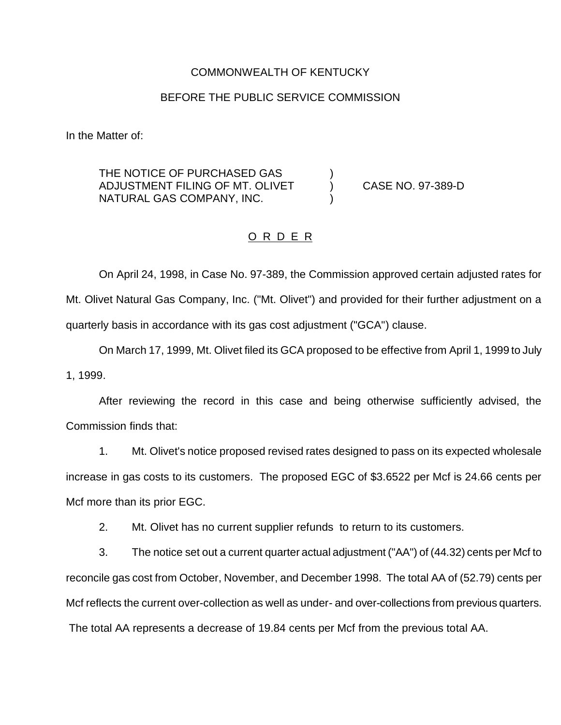## COMMONWEALTH OF KENTUCKY

## BEFORE THE PUBLIC SERVICE COMMISSION

In the Matter of:

THE NOTICE OF PURCHASED GAS ADJUSTMENT FILING OF MT. OLIVET ) CASE NO. 97-389-D NATURAL GAS COMPANY, INC. )

## O R D E R

On April 24, 1998, in Case No. 97-389, the Commission approved certain adjusted rates for Mt. Olivet Natural Gas Company, Inc. ("Mt. Olivet") and provided for their further adjustment on a quarterly basis in accordance with its gas cost adjustment ("GCA") clause.

On March 17, 1999, Mt. Olivet filed its GCA proposed to be effective from April 1, 1999 to July 1, 1999.

After reviewing the record in this case and being otherwise sufficiently advised, the Commission finds that:

1. Mt. Olivet's notice proposed revised rates designed to pass on its expected wholesale increase in gas costs to its customers. The proposed EGC of \$3.6522 per Mcf is 24.66 cents per Mcf more than its prior EGC.

2. Mt. Olivet has no current supplier refunds to return to its customers.

3. The notice set out a current quarter actual adjustment ("AA") of (44.32) cents per Mcf to reconcile gas cost from October, November, and December 1998. The total AA of (52.79) cents per Mcf reflects the current over-collection as well as under- and over-collections from previous quarters. The total AA represents a decrease of 19.84 cents per Mcf from the previous total AA.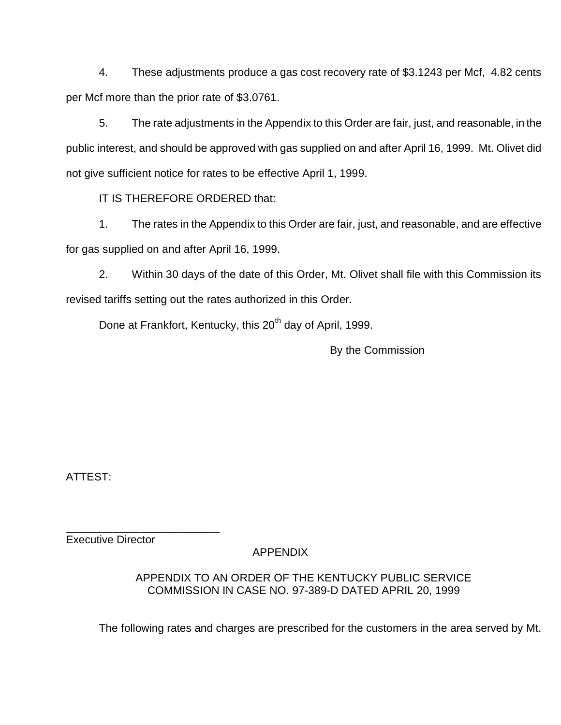4. These adjustments produce a gas cost recovery rate of \$3.1243 per Mcf, 4.82 cents per Mcf more than the prior rate of \$3.0761.

5. The rate adjustments in the Appendix to this Order are fair, just, and reasonable, in the public interest, and should be approved with gas supplied on and after April 16, 1999. Mt. Olivet did not give sufficient notice for rates to be effective April 1, 1999.

IT IS THEREFORE ORDERED that:

1. The rates in the Appendix to this Order are fair, just, and reasonable, and are effective for gas supplied on and after April 16, 1999.

2. Within 30 days of the date of this Order, Mt. Olivet shall file with this Commission its revised tariffs setting out the rates authorized in this Order.

Done at Frankfort, Kentucky, this 20<sup>th</sup> day of April, 1999.

By the Commission

ATTEST:

Executive Director

\_\_\_\_\_\_\_\_\_\_\_\_\_\_\_\_\_\_\_\_\_\_\_\_\_

APPENDIX

APPENDIX TO AN ORDER OF THE KENTUCKY PUBLIC SERVICE COMMISSION IN CASE NO. 97-389-D DATED APRIL 20, 1999

The following rates and charges are prescribed for the customers in the area served by Mt.